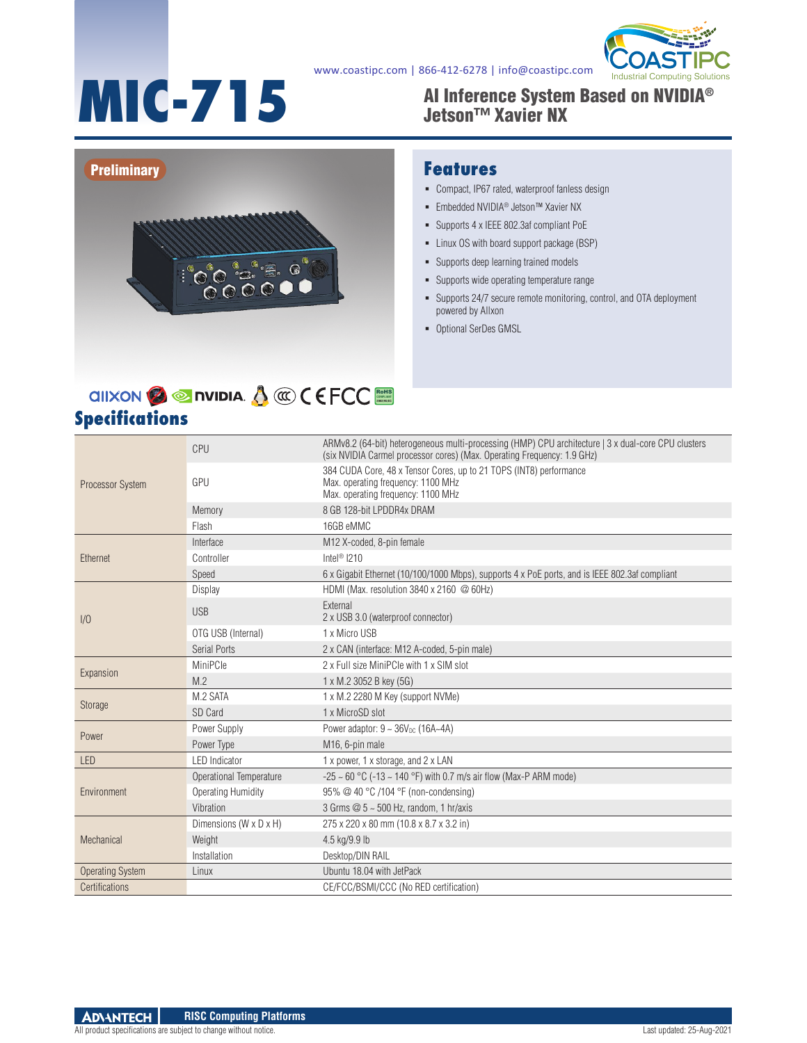#### www.coastipc.com | 866-412-6278 | info@coastipc.com



# **MIC-715**

#### AI Inference System Based on NVIDIA® Jetson™ Xavier NX



#### **Features**

- Compact, IP67 rated, waterproof fanless design
- Embedded NVIDIA<sup>®</sup> Jetson™ Xavier NX
- Supports 4 x IEEE 802.3af compliant PoE
- Linux OS with board support package (BSP)
- **-** Supports deep learning trained models
- Supports wide operating temperature range
- Supports 24/7 secure remote monitoring, control, and OTA deployment powered by Allxon
- Optional SerDes GMSL

## **Specifications**

| <b>Processor System</b> | CPU                     | ARMv8.2 (64-bit) heterogeneous multi-processing (HMP) CPU architecture   3 x dual-core CPU clusters<br>(six NVIDIA Carmel processor cores) (Max. Operating Frequency: 1.9 GHz) |
|-------------------------|-------------------------|--------------------------------------------------------------------------------------------------------------------------------------------------------------------------------|
|                         | GPU                     | 384 CUDA Core, 48 x Tensor Cores, up to 21 TOPS (INT8) performance<br>Max. operating frequency: 1100 MHz<br>Max. operating frequency: 1100 MHz                                 |
|                         | Memory                  | 8 GB 128-bit LPDDR4x DRAM                                                                                                                                                      |
|                         | Flash                   | 16GB eMMC                                                                                                                                                                      |
| Ethernet                | Interface               | M12 X-coded, 8-pin female                                                                                                                                                      |
|                         | Controller              | Intel <sup>®</sup> $1210$                                                                                                                                                      |
|                         | Speed                   | 6 x Gigabit Ethernet (10/100/1000 Mbps), supports 4 x PoE ports, and is IEEE 802.3af compliant                                                                                 |
| 1/0                     | Display                 | HDMI (Max. resolution 3840 x 2160 @ 60Hz)                                                                                                                                      |
|                         | <b>USB</b>              | External<br>2 x USB 3.0 (waterproof connector)                                                                                                                                 |
|                         | OTG USB (Internal)      | 1 x Micro USB                                                                                                                                                                  |
|                         | Serial Ports            | 2 x CAN (interface: M12 A-coded, 5-pin male)                                                                                                                                   |
| Expansion               | MiniPCle                | 2 x Full size MiniPCle with 1 x SIM slot                                                                                                                                       |
|                         | M.2                     | 1 x M.2 3052 B key (5G)                                                                                                                                                        |
| Storage                 | M.2 SATA                | 1 x M.2 2280 M Key (support NVMe)                                                                                                                                              |
|                         | SD Card                 | 1 x MicroSD slot                                                                                                                                                               |
| Power                   | Power Supply            | Power adaptor: $9 \sim 36V_{DC}$ (16A~4A)                                                                                                                                      |
|                         | Power Type              | M <sub>16</sub> , 6-pin male                                                                                                                                                   |
| <b>LED</b>              | <b>LED</b> Indicator    | 1 x power, 1 x storage, and 2 x LAN                                                                                                                                            |
| Environment             | Operational Temperature | -25 ~ 60 °C (-13 ~ 140 °F) with 0.7 m/s air flow (Max-P ARM mode)                                                                                                              |
|                         | Operating Humidity      | 95% @ 40 °C /104 °F (non-condensing)                                                                                                                                           |
|                         | Vibration               | 3 Grms @ 5 ~ 500 Hz, random, 1 hr/axis                                                                                                                                         |
| Mechanical              | Dimensions (W x D x H)  | 275 x 220 x 80 mm (10.8 x 8.7 x 3.2 in)                                                                                                                                        |
|                         | Weight                  | 4.5 kg/9.9 lb                                                                                                                                                                  |
|                         | Installation            | Desktop/DIN RAIL                                                                                                                                                               |
| <b>Operating System</b> | Linux                   | Ubuntu 18.04 with JetPack                                                                                                                                                      |
| Certifications          |                         | CE/FCC/BSMI/CCC (No RED certification)                                                                                                                                         |

RoHS **COMPLIANT 2002/95/EC**